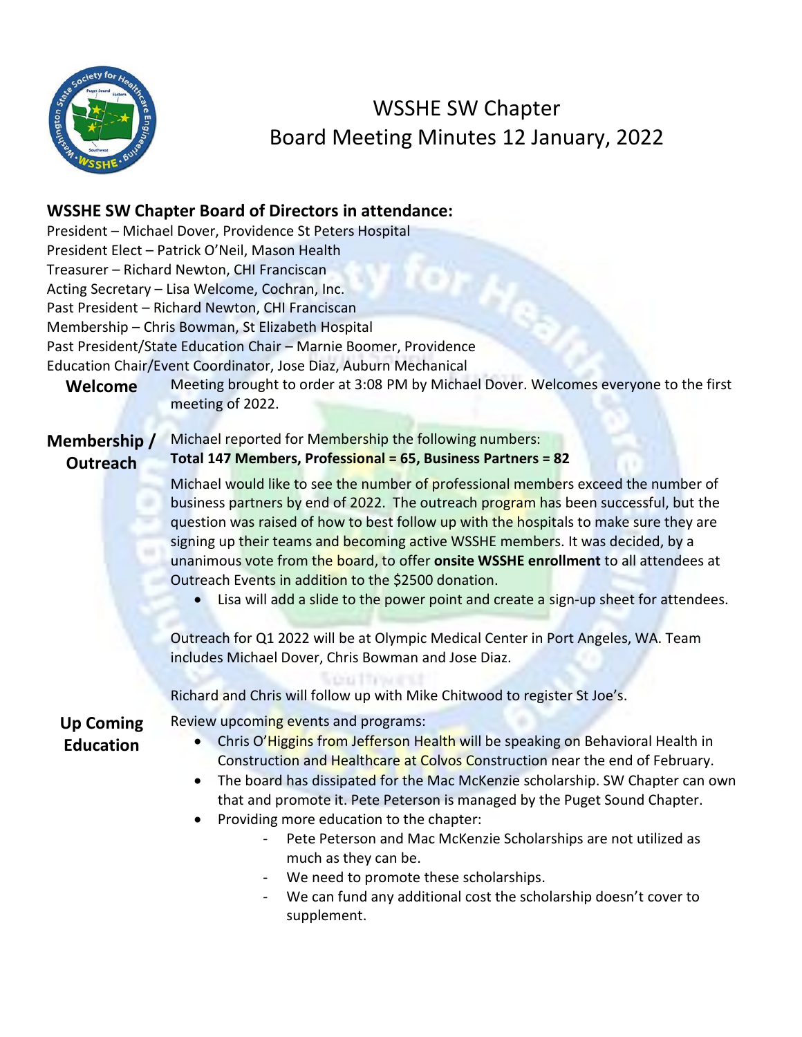

WSSHE SW Chapter Board Meeting Minutes 12 January, 2022

## **WSSHE SW Chapter Board of Directors in attendance:**

| Welcome                              | President - Michael Dover, Providence St Peters Hospital<br>President Elect - Patrick O'Neil, Mason Health<br>Treasurer - Richard Newton, CHI Franciscan<br>Acting Secretary - Lisa Welcome, Cochran, Inc.<br>Past President - Richard Newton, CHI Franciscan<br>Membership - Chris Bowman, St Elizabeth Hospital<br>Past President/State Education Chair - Marnie Boomer, Providence<br>Education Chair/Event Coordinator, Jose Diaz, Auburn Mechanical<br>Meeting brought to order at 3:08 PM by Michael Dover. Welcomes everyone to the first<br>meeting of 2022.                                                                                                                                                                                                                                                                 |
|--------------------------------------|--------------------------------------------------------------------------------------------------------------------------------------------------------------------------------------------------------------------------------------------------------------------------------------------------------------------------------------------------------------------------------------------------------------------------------------------------------------------------------------------------------------------------------------------------------------------------------------------------------------------------------------------------------------------------------------------------------------------------------------------------------------------------------------------------------------------------------------|
| Membership /<br><b>Outreach</b>      | Michael reported for Membership the following numbers:<br>Total 147 Members, Professional = 65, Business Partners = 82                                                                                                                                                                                                                                                                                                                                                                                                                                                                                                                                                                                                                                                                                                               |
|                                      | Michael would like to see the number of professional members exceed the number of<br>business partners by end of 2022. The outreach program has been successful, but the<br>question was raised of how to best follow up with the hospitals to make sure they are<br>signing up their teams and becoming active WSSHE members. It was decided, by a<br>unanimous vote from the board, to offer onsite WSSHE enrollment to all attendees at<br>Outreach Events in addition to the \$2500 donation.<br>Lisa will add a slide to the power point and create a sign-up sheet for attendees.<br>Outreach for Q1 2022 will be at Olympic Medical Center in Port Angeles, WA. Team<br>includes Michael Dover, Chris Bowman and Jose Diaz.<br><b>COLLECTION</b><br>Richard and Chris will follow up with Mike Chitwood to register St Joe's. |
| <b>Up Coming</b><br><b>Education</b> | Review upcoming events and programs:<br>Chris O'Higgins from Jefferson Health will be speaking on Behavioral Health in<br>$\bullet$<br>Construction and Healthcare at Colvos Construction near the end of February.<br>The board has dissipated for the Mac McKenzie scholarship. SW Chapter can own<br>$\bullet$<br>that and promote it. Pete Peterson is managed by the Puget Sound Chapter.<br>Providing more education to the chapter:<br>Pete Peterson and Mac McKenzie Scholarships are not utilized as<br>much as they can be.<br>We need to promote these scholarships.<br>We can fund any additional cost the scholarship doesn't cover to<br>supplement.                                                                                                                                                                   |